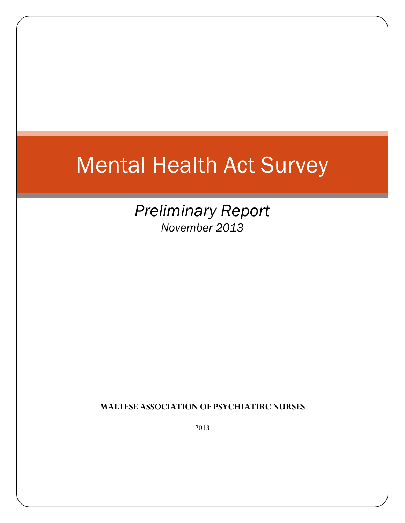# Mental Health Act Survey

*Preliminary Report November 2013*

**MALTESE ASSOCIATION OF PSYCHIATIRC NURSES**

2013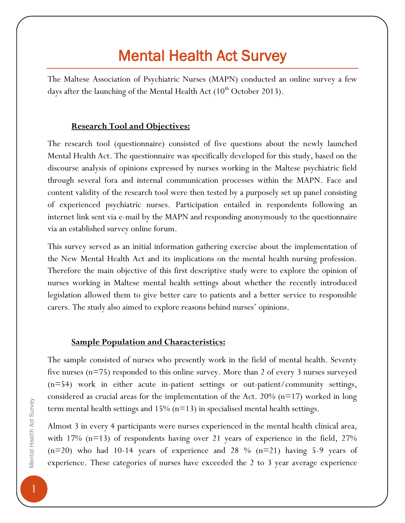# Mental Health Act Survey

The Maltese Association of Psychiatric Nurses (MAPN) conducted an online survey a few days after the launching of the Mental Health Act  $(10<sup>th</sup> October 2013)$ .

#### **Research Tool and Objectives:**

The research tool (questionnaire) consisted of five questions about the newly launched Mental Health Act. The questionnaire was specifically developed for this study, based on the discourse analysis of opinions expressed by nurses working in the Maltese psychiatric field through several fora and internal communication processes within the MAPN. Face and content validity of the research tool were then tested by a purposely set up panel consisting of experienced psychiatric nurses. Participation entailed in respondents following an internet link sent via e-mail by the MAPN and responding anonymously to the questionnaire via an established survey online forum.

This survey served as an initial information gathering exercise about the implementation of the New Mental Health Act and its implications on the mental health nursing profession. Therefore the main objective of this first descriptive study were to explore the opinion of nurses working in Maltese mental health settings about whether the recently introduced legislation allowed them to give better care to patients and a better service to responsible carers. The study also aimed to explore reasons behind nurses' opinions.

#### **Sample Population and Characteristics:**

The sample consisted of nurses who presently work in the field of mental health. Seventy five nurses (n=75) responded to this online survey. More than 2 of every 3 nurses surveyed (n=54) work in either acute in-patient settings or out-patient/community settings, considered as crucial areas for the implementation of the Act. 20% ( $n=17$ ) worked in long term mental health settings and 15% (n=13) in specialised mental health settings.

Almost 3 in every 4 participants were nurses experienced in the mental health clinical area, with 17%  $(n=13)$  of respondents having over 21 years of experience in the field, 27%  $(n=20)$  who had 10-14 years of experience and 28 %  $(n=21)$  having 5-9 years of experience. These categories of nurses have exceeded the 2 to 3 year average experience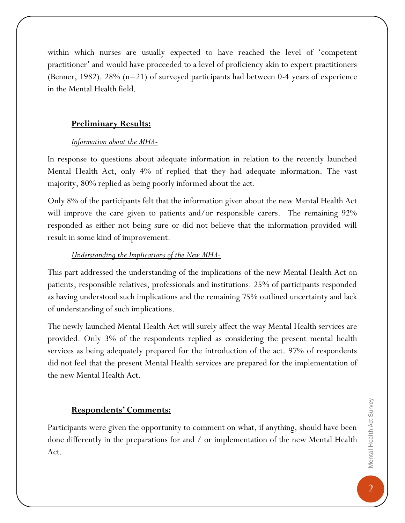within which nurses are usually expected to have reached the level of 'competent practitioner' and would have proceeded to a level of proficiency akin to expert practitioners (Benner, 1982). 28% (n=21) of surveyed participants had between 0-4 years of experience in the Mental Health field.

## **Preliminary Results:**

#### *Information about the MHA-*

In response to questions about adequate information in relation to the recently launched Mental Health Act, only 4% of replied that they had adequate information. The vast majority, 80% replied as being poorly informed about the act.

Only 8% of the participants felt that the information given about the new Mental Health Act will improve the care given to patients and/or responsible carers. The remaining 92% responded as either not being sure or did not believe that the information provided will result in some kind of improvement.

### *Understanding the Implications of the New MHA-*

This part addressed the understanding of the implications of the new Mental Health Act on patients, responsible relatives, professionals and institutions. 25% of participants responded as having understood such implications and the remaining 75% outlined uncertainty and lack of understanding of such implications.

The newly launched Mental Health Act will surely affect the way Mental Health services are provided. Only 3% of the respondents replied as considering the present mental health services as being adequately prepared for the introduction of the act. 97% of respondents did not feel that the present Mental Health services are prepared for the implementation of the new Mental Health Act.

### **Respondents' Comments:**

Participants were given the opportunity to comment on what, if anything, should have been done differently in the preparations for and / or implementation of the new Mental Health Act.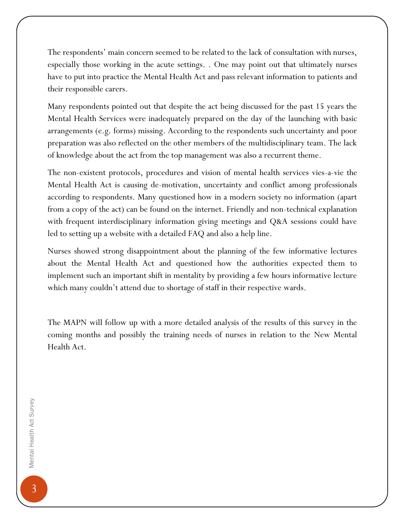The respondents' main concern seemed to be related to the lack of consultation with nurses, especially those working in the acute settings. . One may point out that ultimately nurses have to put into practice the Mental Health Act and pass relevant information to patients and their responsible carers.

Many respondents pointed out that despite the act being discussed for the past 15 years the Mental Health Services were inadequately prepared on the day of the launching with basic arrangements (e.g. forms) missing. According to the respondents such uncertainty and poor preparation was also reflected on the other members of the multidisciplinary team. The lack of knowledge about the act from the top management was also a recurrent theme.

The non-existent protocols, procedures and vision of mental health services vies-a-vie the Mental Health Act is causing de-motivation, uncertainty and conflict among professionals according to respondents. Many questioned how in a modern society no information (apart from a copy of the act) can be found on the internet. Friendly and non-technical explanation with frequent interdisciplinary information giving meetings and Q&A sessions could have led to setting up a website with a detailed FAQ and also a help line.

Nurses showed strong disappointment about the planning of the few informative lectures about the Mental Health Act and questioned how the authorities expected them to implement such an important shift in mentality by providing a few hours informative lecture which many couldn't attend due to shortage of staff in their respective wards.

The MAPN will follow up with a more detailed analysis of the results of this survey in the coming months and possibly the training needs of nurses in relation to the New Mental Health Act.